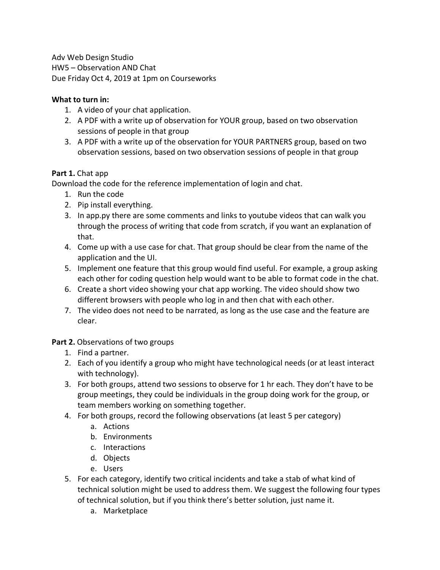Adv Web Design Studio HW5 – Observation AND Chat Due Friday Oct 4, 2019 at 1pm on Courseworks

## **What to turn in:**

- 1. A video of your chat application.
- 2. A PDF with a write up of observation for YOUR group, based on two observation sessions of people in that group
- 3. A PDF with a write up of the observation for YOUR PARTNERS group, based on two observation sessions, based on two observation sessions of people in that group

## **Part 1.** Chat app

Download the code for the reference implementation of login and chat.

- 1. Run the code
- 2. Pip install everything.
- 3. In app.py there are some comments and links to youtube videos that can walk you through the process of writing that code from scratch, if you want an explanation of that.
- 4. Come up with a use case for chat. That group should be clear from the name of the application and the UI.
- 5. Implement one feature that this group would find useful. For example, a group asking each other for coding question help would want to be able to format code in the chat.
- 6. Create a short video showing your chat app working. The video should show two different browsers with people who log in and then chat with each other.
- 7. The video does not need to be narrated, as long as the use case and the feature are clear.

## **Part 2.** Observations of two groups

- 1. Find a partner.
- 2. Each of you identify a group who might have technological needs (or at least interact with technology).
- 3. For both groups, attend two sessions to observe for 1 hr each. They don't have to be group meetings, they could be individuals in the group doing work for the group, or team members working on something together.
- 4. For both groups, record the following observations (at least 5 per category)
	- a. Actions
	- b. Environments
	- c. Interactions
	- d. Objects
	- e. Users
- 5. For each category, identify two critical incidents and take a stab of what kind of technical solution might be used to address them. We suggest the following four types of technical solution, but if you think there's better solution, just name it.
	- a. Marketplace